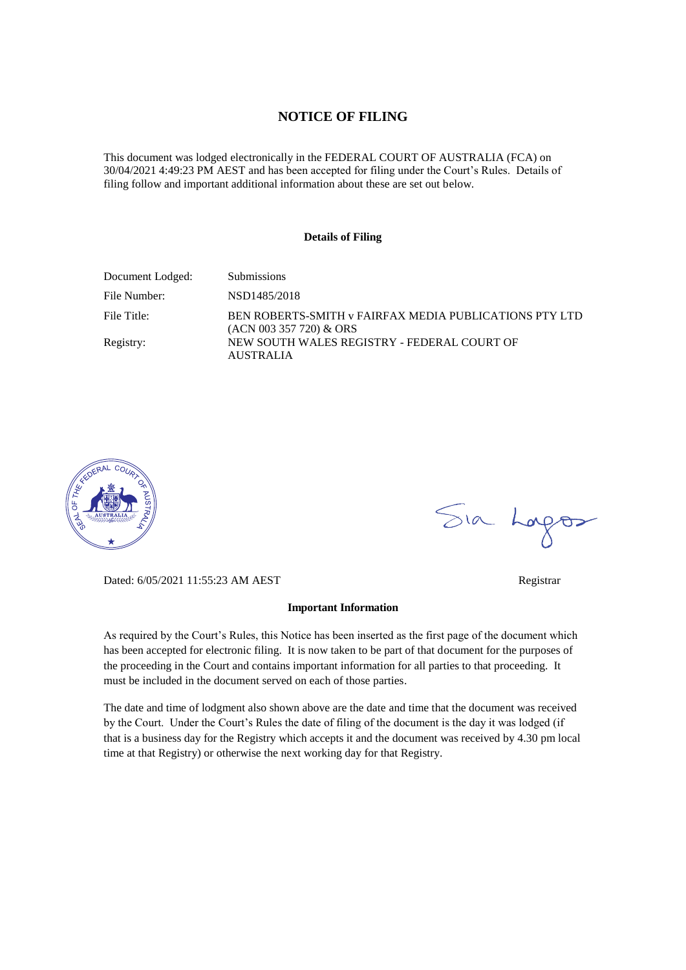### **NOTICE OF FILING**

This document was lodged electronically in the FEDERAL COURT OF AUSTRALIA (FCA) on 30/04/2021 4:49:23 PM AEST and has been accepted for filing under the Court's Rules. Details of filing follow and important additional information about these are set out below.

#### **Details of Filing**

| Document Lodged: | <b>Submissions</b>                                                                  |
|------------------|-------------------------------------------------------------------------------------|
| File Number:     | NSD1485/2018                                                                        |
| File Title:      | BEN ROBERTS-SMITH v FAIRFAX MEDIA PUBLICATIONS PTY LTD<br>$(ACN 003 357 720)$ & ORS |
| Registry:        | NEW SOUTH WALES REGISTRY - FEDERAL COURT OF<br>AUSTRALIA                            |



Sia Logos

Dated: 6/05/2021 11:55:23 AM AEST Registrar

#### **Important Information**

As required by the Court's Rules, this Notice has been inserted as the first page of the document which has been accepted for electronic filing. It is now taken to be part of that document for the purposes of the proceeding in the Court and contains important information for all parties to that proceeding. It must be included in the document served on each of those parties.

The date and time of lodgment also shown above are the date and time that the document was received by the Court. Under the Court's Rules the date of filing of the document is the day it was lodged (if that is a business day for the Registry which accepts it and the document was received by 4.30 pm local time at that Registry) or otherwise the next working day for that Registry.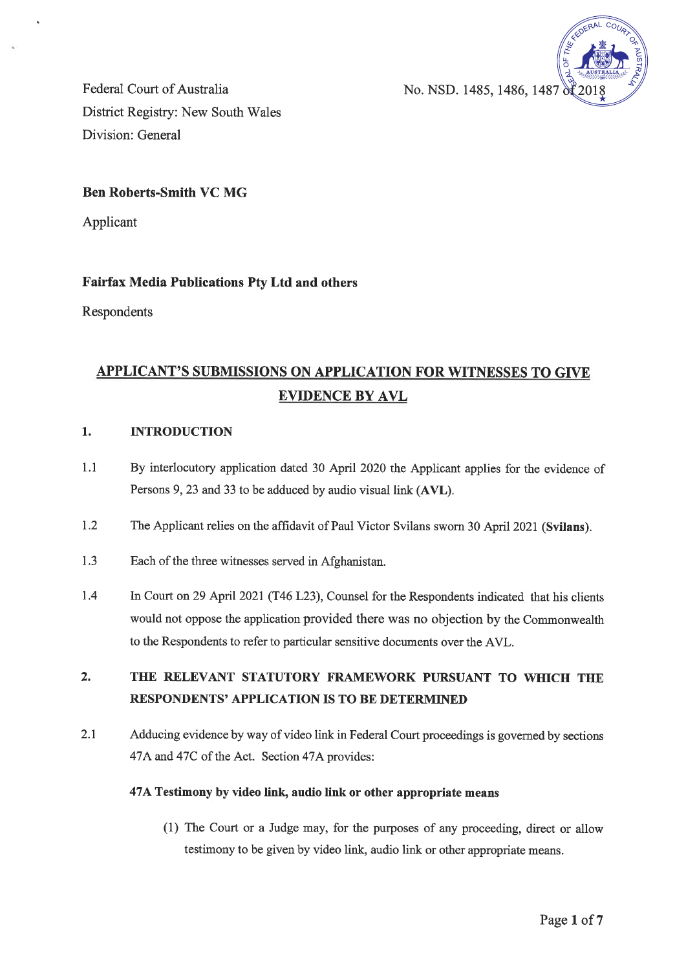

Federal Court of Australia District Registry: New South Wales Division: General

## **Ben Roberts-Smith VC MG**

Applicant

## **Fairfax Media Publications Pty Ltd and others**

Respondents

# **APPLICANT'S SUBMISSIONS ON APPLICATION FOR WITNESSES TO GIVE EVIDENCE BY AVL**

#### $1.$ **INTRODUCTION**

- $1.1$ By interlocutory application dated 30 April 2020 the Applicant applies for the evidence of Persons 9, 23 and 33 to be adduced by audio visual link (AVL).
- $1.2$ The Applicant relies on the affidavit of Paul Victor Svilans sworn 30 April 2021 (Svilans).
- 1.3 Each of the three witnesses served in Afghanistan.
- $1.4$ In Court on 29 April 2021 (T46 L23), Counsel for the Respondents indicated that his clients would not oppose the application provided there was no objection by the Commonwealth to the Respondents to refer to particular sensitive documents over the AVL.

#### $2.$ THE RELEVANT STATUTORY FRAMEWORK PURSUANT TO WHICH THE **RESPONDENTS' APPLICATION IS TO BE DETERMINED**

 $2.1$ Adducing evidence by way of video link in Federal Court proceedings is governed by sections 47A and 47C of the Act. Section 47A provides:

#### 47A Testimony by video link, audio link or other appropriate means

(1) The Court or a Judge may, for the purposes of any proceeding, direct or allow testimony to be given by video link, audio link or other appropriate means.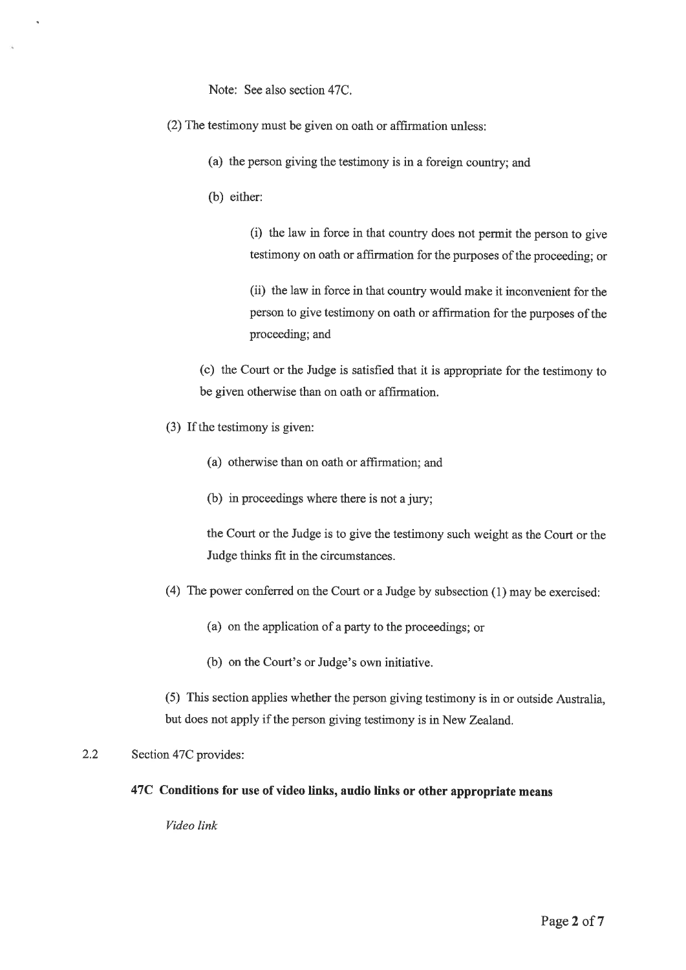Note: See also section 47C.

- (2) The testimony must be given on oath or affirmation unless:
	- (a) the person giving the testimony is in a foreign country; and
	- (b) either:

(i) the law in force in that country does not permit the person to give testimony on oath or affirmation for the purposes of the proceeding; or

(ii) the law in force in that country would make it inconvenient for the person to give testimony on oath or affirmation for the purposes of the proceeding; and

(c) the Court or the Judge is satisfied that it is appropriate for the testimony to be given otherwise than on oath or affirmation.

- (3) If the testimony is given:
	- (a) otherwise than on oath or affirmation; and
	- (b) in proceedings where there is not a jury;

the Court or the Judge is to give the testimony such weight as the Court or the Judge thinks fit in the circumstances.

- (4) The power conferred on the Court or a Judge by subsection (1) may be exercised:
	- (a) on the application of a party to the proceedings; or
	- (b) on the Court's or Judge's own initiative.

(5) This section applies whether the person giving testimony is in or outside Australia, but does not apply if the person giving testimony is in New Zealand.

#### $2.2$ Section 47C provides:

## 47C Conditions for use of video links, audio links or other appropriate means

Video link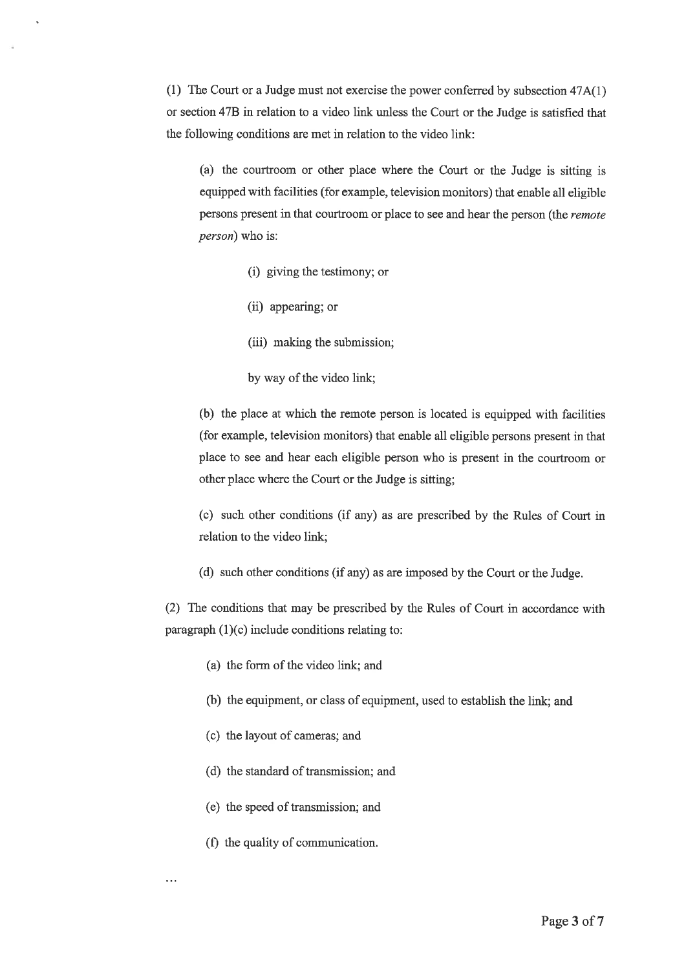(1) The Court or a Judge must not exercise the power conferred by subsection  $47A(1)$ or section 47B in relation to a video link unless the Court or the Judge is satisfied that the following conditions are met in relation to the video link:

(a) the courtroom or other place where the Court or the Judge is sitting is equipped with facilities (for example, television monitors) that enable all eligible persons present in that courtroom or place to see and hear the person (the remote *person*) who is:

- (i) giving the testimony; or
- (ii) appearing; or
- (iii) making the submission;
- by way of the video link;

(b) the place at which the remote person is located is equipped with facilities (for example, television monitors) that enable all eligible persons present in that place to see and hear each eligible person who is present in the courtroom or other place where the Court or the Judge is sitting;

(c) such other conditions (if any) as are prescribed by the Rules of Court in relation to the video link;

(d) such other conditions (if any) as are imposed by the Court or the Judge.

(2) The conditions that may be prescribed by the Rules of Court in accordance with paragraph  $(1)(c)$  include conditions relating to:

- (a) the form of the video link; and
- (b) the equipment, or class of equipment, used to establish the link; and
- (c) the layout of cameras; and
- (d) the standard of transmission; and
- (e) the speed of transmission; and
- (f) the quality of communication.

 $\sim$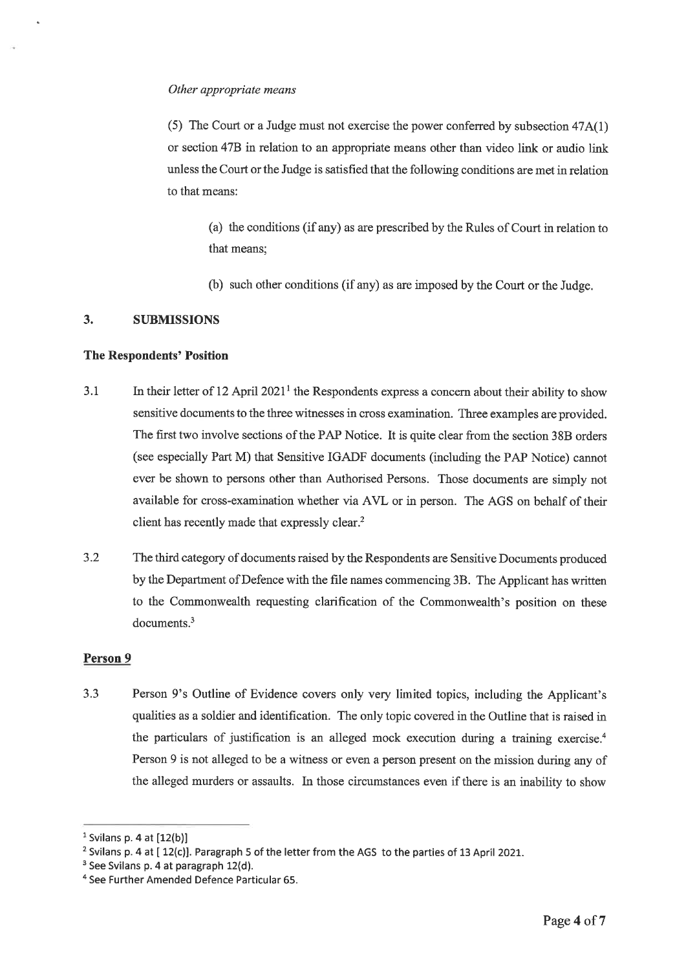#### Other appropriate means

(5) The Court or a Judge must not exercise the power conferred by subsection 47A(1) or section 47B in relation to an appropriate means other than video link or audio link unless the Court or the Judge is satisfied that the following conditions are met in relation to that means:

(a) the conditions (if any) as are prescribed by the Rules of Court in relation to that means:

(b) such other conditions (if any) as are imposed by the Court or the Judge.

#### $3.$ **SUBMISSIONS**

### **The Respondents' Position**

- In their letter of 12 April 2021<sup>1</sup> the Respondents express a concern about their ability to show  $3.1$ sensitive documents to the three witnesses in cross examination. Three examples are provided. The first two involve sections of the PAP Notice. It is quite clear from the section 38B orders (see especially Part M) that Sensitive IGADF documents (including the PAP Notice) cannot ever be shown to persons other than Authorised Persons. Those documents are simply not available for cross-examination whether via AVL or in person. The AGS on behalf of their client has recently made that expressly clear.<sup>2</sup>
- $3.2$ The third category of documents raised by the Respondents are Sensitive Documents produced by the Department of Defence with the file names commencing 3B. The Applicant has written to the Commonwealth requesting clarification of the Commonwealth's position on these  $documents.<sup>3</sup>$

#### Person 9

 $3.3$ Person 9's Outline of Evidence covers only very limited topics, including the Applicant's qualities as a soldier and identification. The only topic covered in the Outline that is raised in the particulars of justification is an alleged mock execution during a training exercise.<sup>4</sup> Person 9 is not alleged to be a witness or even a person present on the mission during any of the alleged murders or assaults. In those circumstances even if there is an inability to show

 $<sup>1</sup>$  Svilans p. 4 at  $[12(b)]$ </sup>

<sup>&</sup>lt;sup>2</sup> Svilans p. 4 at [12(c)]. Paragraph 5 of the letter from the AGS to the parties of 13 April 2021.

<sup>&</sup>lt;sup>3</sup> See Svilans p. 4 at paragraph 12(d).

<sup>&</sup>lt;sup>4</sup> See Further Amended Defence Particular 65.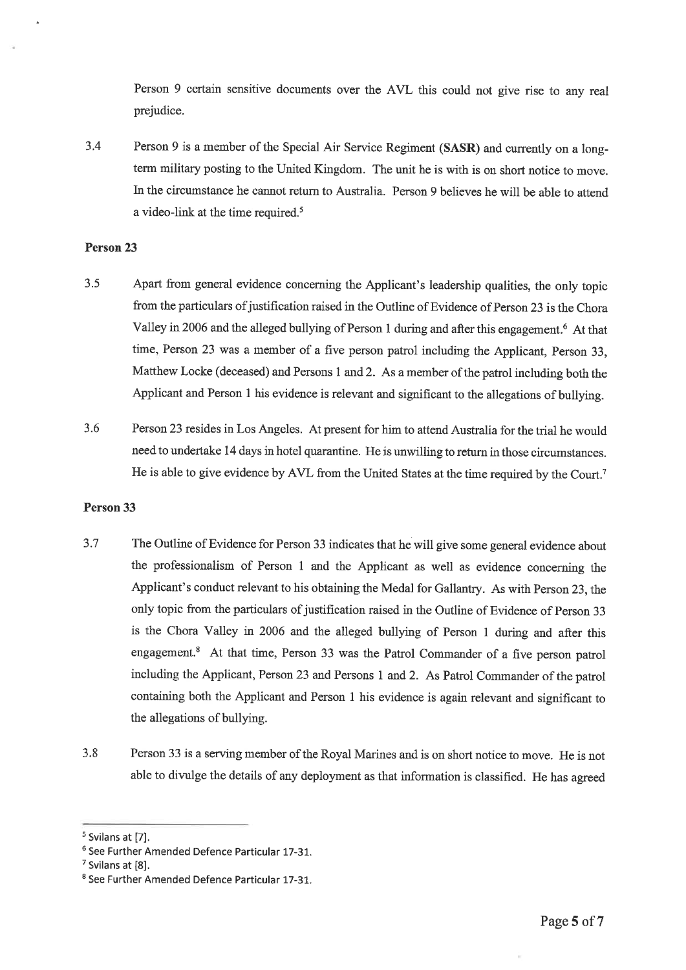Person 9 certain sensitive documents over the AVL this could not give rise to any real prejudice.

Person 9 is a member of the Special Air Service Regiment (SASR) and currently on a long- $3.4$ term military posting to the United Kingdom. The unit he is with is on short notice to move. In the circumstance he cannot return to Australia. Person 9 believes he will be able to attend a video-link at the time required.<sup>5</sup>

### Person 23

- $3.5$ Apart from general evidence concerning the Applicant's leadership qualities, the only topic from the particulars of justification raised in the Outline of Evidence of Person 23 is the Chora Valley in 2006 and the alleged bullying of Person 1 during and after this engagement.<sup>6</sup> At that time, Person 23 was a member of a five person patrol including the Applicant, Person 33, Matthew Locke (deceased) and Persons 1 and 2. As a member of the patrol including both the Applicant and Person 1 his evidence is relevant and significant to the allegations of bullying.
- $3.6$ Person 23 resides in Los Angeles. At present for him to attend Australia for the trial he would need to undertake 14 days in hotel quarantine. He is unwilling to return in those circumstances. He is able to give evidence by AVL from the United States at the time required by the Court.<sup>7</sup>

#### Person 33

- $3.7$ The Outline of Evidence for Person 33 indicates that he will give some general evidence about the professionalism of Person 1 and the Applicant as well as evidence concerning the Applicant's conduct relevant to his obtaining the Medal for Gallantry. As with Person 23, the only topic from the particulars of justification raised in the Outline of Evidence of Person 33 is the Chora Valley in 2006 and the alleged bullying of Person 1 during and after this engagement.<sup>8</sup> At that time, Person 33 was the Patrol Commander of a five person patrol including the Applicant, Person 23 and Persons 1 and 2. As Patrol Commander of the patrol containing both the Applicant and Person 1 his evidence is again relevant and significant to the allegations of bullying.
- Person 33 is a serving member of the Royal Marines and is on short notice to move. He is not  $3.8$ able to divulge the details of any deployment as that information is classified. He has agreed

<sup>&</sup>lt;sup>5</sup> Svilans at [7].

<sup>&</sup>lt;sup>6</sup> See Further Amended Defence Particular 17-31.

<sup>&</sup>lt;sup>7</sup> Svilans at [8].

<sup>&</sup>lt;sup>8</sup> See Further Amended Defence Particular 17-31.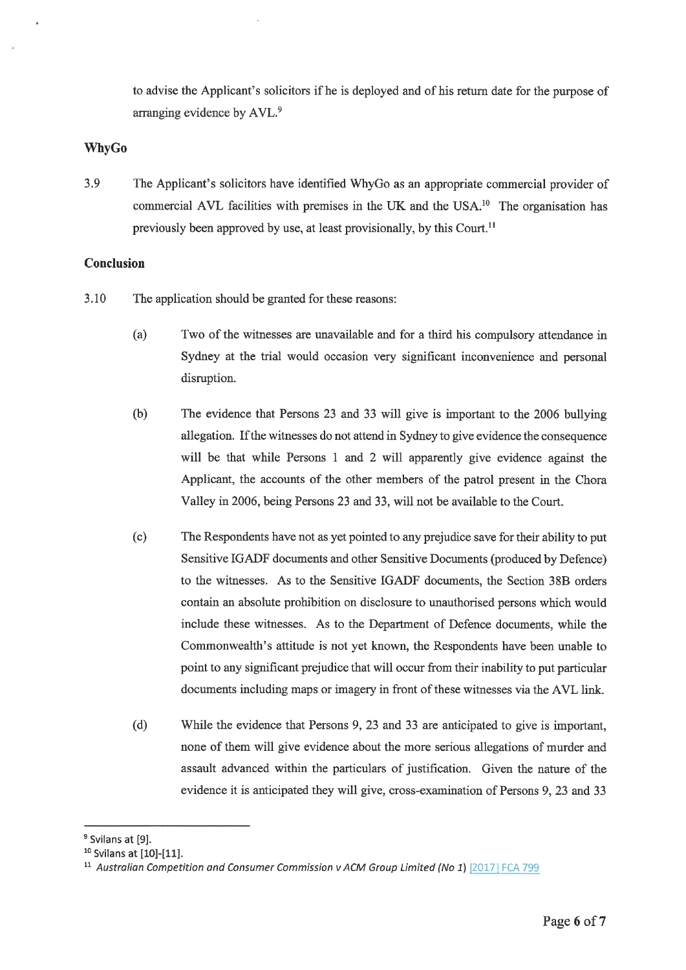to advise the Applicant's solicitors if he is deployed and of his return date for the purpose of arranging evidence by AVL.<sup>9</sup>

### **WhyGo**

 $3.9$ The Applicant's solicitors have identified WhyGo as an appropriate commercial provider of commercial AVL facilities with premises in the UK and the USA.<sup>10</sup> The organisation has previously been approved by use, at least provisionally, by this Court.<sup>11</sup>

## **Conclusion**

- 3.10 The application should be granted for these reasons:
	- $(a)$ Two of the witnesses are unavailable and for a third his compulsory attendance in Sydney at the trial would occasion very significant inconvenience and personal disruption.
	- $(b)$ The evidence that Persons 23 and 33 will give is important to the 2006 bullying allegation. If the witnesses do not attend in Sydney to give evidence the consequence will be that while Persons 1 and 2 will apparently give evidence against the Applicant, the accounts of the other members of the patrol present in the Chora Valley in 2006, being Persons 23 and 33, will not be available to the Court.
	- $(c)$ The Respondents have not as yet pointed to any prejudice save for their ability to put Sensitive IGADF documents and other Sensitive Documents (produced by Defence) to the witnesses. As to the Sensitive IGADF documents, the Section 38B orders contain an absolute prohibition on disclosure to unauthorised persons which would include these witnesses. As to the Department of Defence documents, while the Commonwealth's attitude is not yet known, the Respondents have been unable to point to any significant prejudice that will occur from their inability to put particular documents including maps or imagery in front of these witnesses via the AVL link.
	- $(d)$ While the evidence that Persons 9, 23 and 33 are anticipated to give is important, none of them will give evidence about the more serious allegations of murder and assault advanced within the particulars of justification. Given the nature of the evidence it is anticipated they will give, cross-examination of Persons 9, 23 and 33

<sup>&</sup>lt;sup>9</sup> Svilans at [9].

<sup>&</sup>lt;sup>10</sup> Svilans at [10]-[11].

<sup>&</sup>lt;sup>11</sup> Australian Competition and Consumer Commission v ACM Group Limited (No 1)  $[2017]$  FCA 799